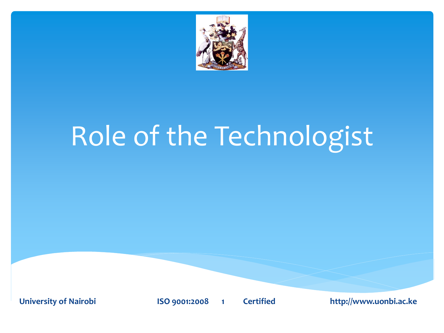

# Role of the Technologist

**University of Nairobi ISO 9001:2008 1 Certified http://www.uonbi.ac.ke**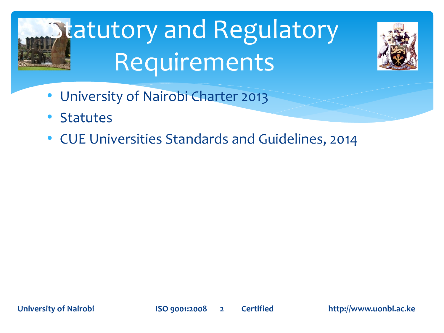# **Statutory and Regulatory** Requirements



- University of Nairobi Charter 2013
- **Statutes**
- CUE Universities Standards and Guidelines, 2014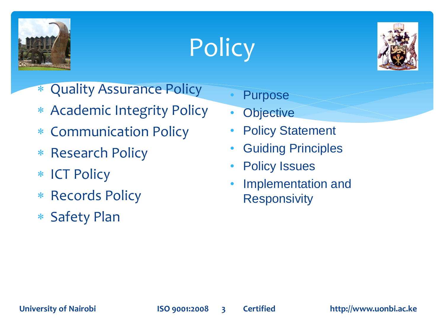





- Quality Assurance Policy
- \* Academic Integrity Policy
- Communication Policy
- \* Research Policy
- \* ICT Policy
- \* Records Policy
- Safety Plan
- **Purpose**
- **Objective**
- **Policy Statement**
- Guiding Principles
- **Policy Issues**
- Implementation and **Responsivity**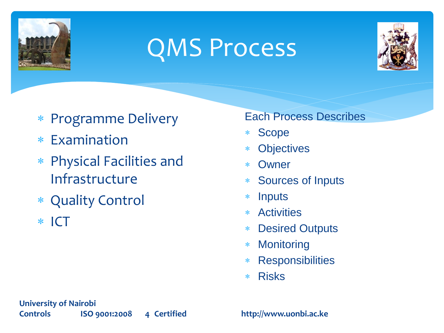

## QMS Process



- \* Programme Delivery
- Examination
- Physical Facilities and Infrastructure
- Quality Control
- $*$  ICT

#### Each Process Describes

- Scope
- **Objectives**
- Owner
- Sources of Inputs
- \* Inputs
- Activities
- Desired Outputs
- Monitoring
- Responsibilities
- Risks

**University of Nairobi Controls ISO 9001:2008 4 Certified http://www.uonbi.ac.ke**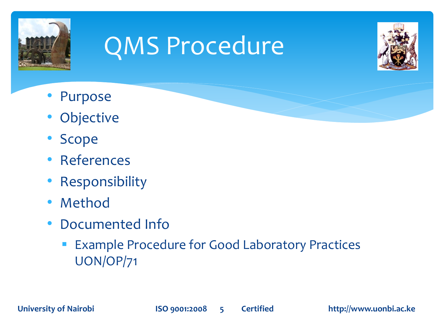

## QMS Procedure



- **Purpose**
- **Objective**
- Scope
- **References**
- **Responsibility**
- Method
- Documented Info
	- **Example Procedure for Good Laboratory Practices** UON/OP/71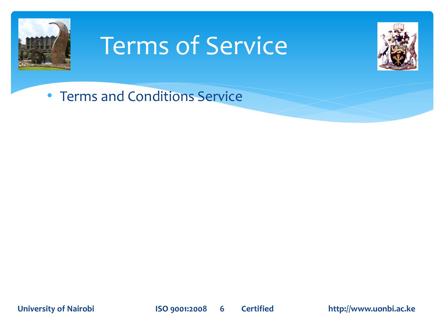

#### Terms of Service



• Terms and Conditions Service

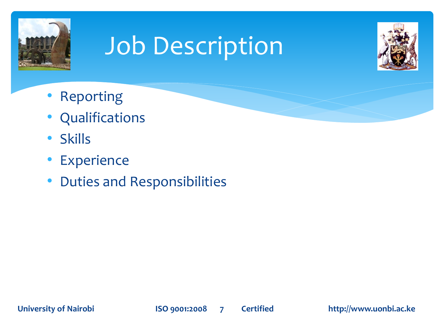

## Job Description



- Reporting
- **Qualifications**
- Skills
- **Experience**
- Duties and Responsibilities